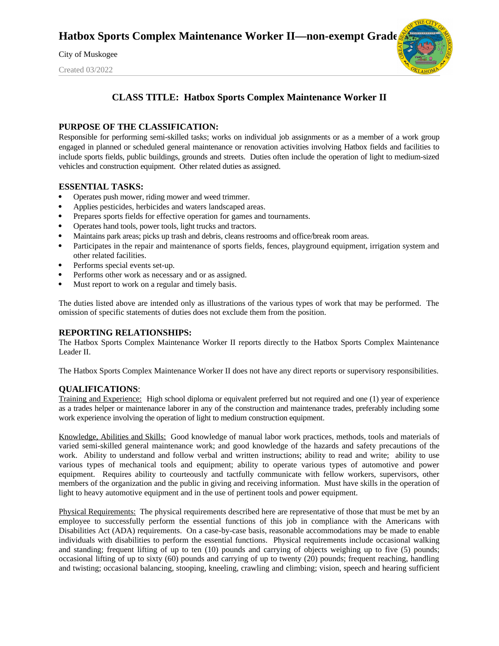City of Muskogee

Created 03/2022



# **CLASS TITLE: Hatbox Sports Complex Maintenance Worker II**

#### **PURPOSE OF THE CLASSIFICATION:**

Responsible for performing semi-skilled tasks; works on individual job assignments or as a member of a work group engaged in planned or scheduled general maintenance or renovation activities involving Hatbox fields and facilities to include sports fields, public buildings, grounds and streets. Duties often include the operation of light to medium-sized vehicles and construction equipment. Other related duties as assigned.

#### **ESSENTIAL TASKS:**

- Operates push mower, riding mower and weed trimmer.
- Applies pesticides, herbicides and waters landscaped areas.
- Prepares sports fields for effective operation for games and tournaments.
- Operates hand tools, power tools, light trucks and tractors.
- Maintains park areas; picks up trash and debris, cleans restrooms and office/break room areas.
- Participates in the repair and maintenance of sports fields, fences, playground equipment, irrigation system and other related facilities.
- Performs special events set-up.
- Performs other work as necessary and or as assigned.
- Must report to work on a regular and timely basis.

The duties listed above are intended only as illustrations of the various types of work that may be performed. The omission of specific statements of duties does not exclude them from the position.

## **REPORTING RELATIONSHIPS:**

The Hatbox Sports Complex Maintenance Worker II reports directly to the Hatbox Sports Complex Maintenance Leader II.

The Hatbox Sports Complex Maintenance Worker II does not have any direct reports or supervisory responsibilities.

## **QUALIFICATIONS**:

Training and Experience: High school diploma or equivalent preferred but not required and one (1) year of experience as a trades helper or maintenance laborer in any of the construction and maintenance trades, preferably including some work experience involving the operation of light to medium construction equipment.

Knowledge, Abilities and Skills: Good knowledge of manual labor work practices, methods, tools and materials of varied semi-skilled general maintenance work; and good knowledge of the hazards and safety precautions of the work. Ability to understand and follow verbal and written instructions; ability to read and write; ability to use various types of mechanical tools and equipment; ability to operate various types of automotive and power equipment. Requires ability to courteously and tactfully communicate with fellow workers, supervisors, other members of the organization and the public in giving and receiving information. Must have skills in the operation of light to heavy automotive equipment and in the use of pertinent tools and power equipment.

Physical Requirements: The physical requirements described here are representative of those that must be met by an employee to successfully perform the essential functions of this job in compliance with the Americans with Disabilities Act (ADA) requirements. On a case-by-case basis, reasonable accommodations may be made to enable individuals with disabilities to perform the essential functions. Physical requirements include occasional walking and standing; frequent lifting of up to ten (10) pounds and carrying of objects weighing up to five (5) pounds; occasional lifting of up to sixty (60) pounds and carrying of up to twenty (20) pounds; frequent reaching, handling and twisting; occasional balancing, stooping, kneeling, crawling and climbing; vision, speech and hearing sufficient